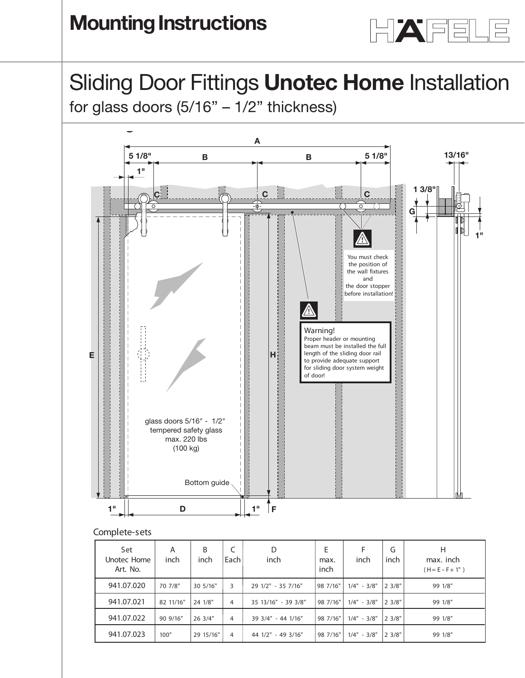

## Sliding Door Fittings **Unotec Home** Installation **Installation**<br>Installation in the United States

Shamig Door Fittings **Shotos Frome** incleand.<br>for glass doors (5/16" – 1/2" thickness)



## **Complete-sets**

| Set<br>Unotec Home<br>Art. No. | A<br>inch | B<br>inch | C<br>Each | D<br>inch           | E<br>max.<br>inch | inch          | G<br>inch    | н<br>max. inch<br>$(H = E - F + 1")$ |
|--------------------------------|-----------|-----------|-----------|---------------------|-------------------|---------------|--------------|--------------------------------------|
| 941.07.020                     | 70 7/8"   | 30 5/16"  | 3         | 29 1/2" - 35 7/16"  | 98 7/16"          | $1/4" - 3/8"$ | $ 2 \, 3/8"$ | 99 1/8"                              |
| 941.07.021                     | 82 11/16" | 24 1/8"   | 4         | 35 13/16" - 39 3/8" | 98 7/16"          | $1/4" - 3/8"$ | 2.3/8"       | 99 1/8"                              |
| 941.07.022                     | 90 9/16"  | 26 3/4"   | 4         | 39 3/4" - 44 1/16"  | 98 7/16"          | $1/4" - 3/8"$ | 23/8"        | 99 1/8"                              |
| 941.07.023                     | 100"      | 29 15/16" | 4         | 44 1/2" - 49 3/16"  | 98 7/16"          | $1/4" - 3/8"$ | $ 2 \; 3/8"$ | 99 1/8"                              |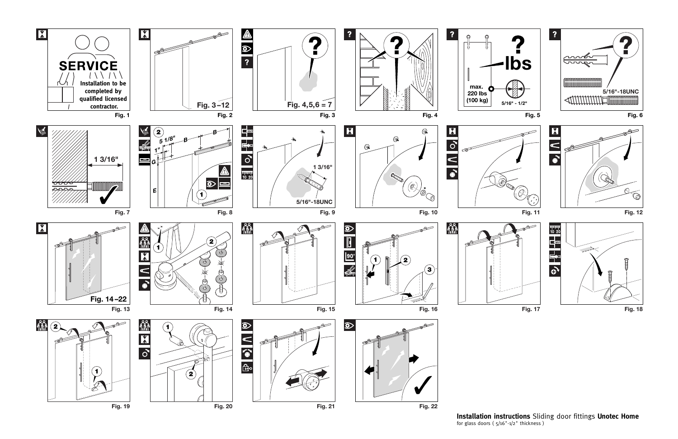